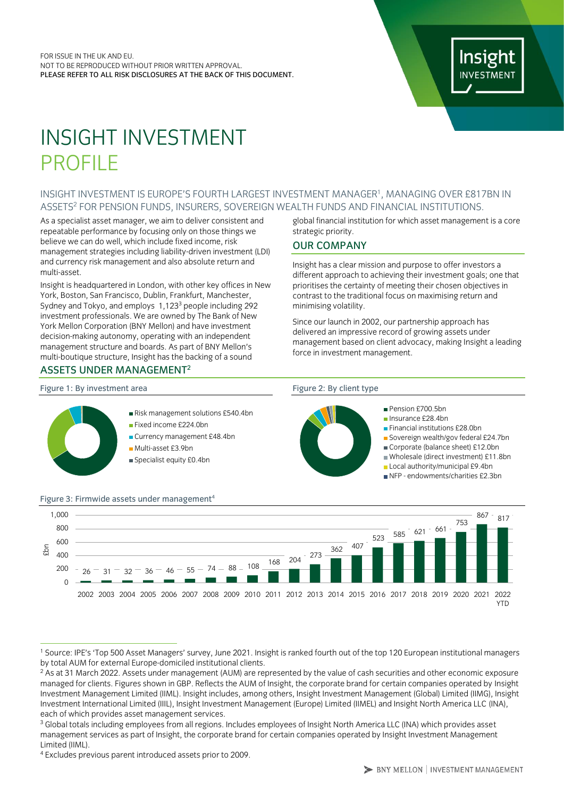# Insight **INVESTMENT**

# INSIGHT INVESTMENT PROFILE

### <span id="page-0-0"></span>INSIGHT INVESTMENT IS EUROPE'S FOURTH LARGEST INVESTMENT MANAGER<sup>1</sup>, MANAGING OVER £817BN IN ASSETS<sup>2</sup> FOR PENSION FUNDS, INSURERS, SOVEREIGN WEALTH FUNDS AND FINANCIAL INSTITUTIONS.

As a specialist asset manager, we aim to deliver consistent and repeatable performance by focusing only on those things we believe we can do well, which include fixed income, risk management strategies including liability-driven investment (LDI) and currency risk management and also absolute return and multi-asset.

Insight is headquartered in London, with other key offices in New York, Boston, San Francisco, Dublin, Frankfurt, Manchester, Sydney and Tokyo, and employs 1,123<sup>3</sup> people including 292 investment professionals. We are owned by The Bank of New York Mellon Corporation (BNY Mellon) and have investment decision-making autonomy, operating with an independent management structure and boards. As part of BNY Mellon's multi-boutique structure, Insight has the backing of a sound

Multi-asset £3.9bn

# ASSETS UNDER MANAGEMEN[T](#page-0-0)<sup>2</sup>

global financial institution for which asset management is a core strategic priority.

# OUR COMPANY

Insight has a clear mission and purpose to offer investors a different approach to achieving their investment goals; one that prioritises the certainty of meeting their chosen objectives in contrast to the traditional focus on maximising return and minimising volatility.

Since our launch in 2002, our partnership approach has delivered an impressive record of growing assets under management based on client advocacy, making Insight a leading force in investment management.

#### Figure 1: By investment area Figure 2: By client type



#### Figure 3: Firmwide assets under management<sup>4</sup>  $26 - 31 - 32 - 36 - 46 - 55 - 74 - 88 - 108$  168 204 273  $\frac{1}{362}$  407  $\overline{523}$  585 621 661 753  $867 - 817$  $\Omega$ 200 400 600  $800$ 1,000 2002 2003 2004 2005 2006 2007 2008 2009 2010 2011 2012 2013 2014 2015 2016 2017 2018 2019 2020 2021 2022 **YTD** £bn

<sup>1</sup> Source: IPE's 'Top 500 Asset Managers' survey, June 2021. Insight is ranked fourth out of the top 120 European institutional managers by total AUM for external Europe-domiciled institutional clients.

<sup>&</sup>lt;sup>2</sup> As at 31 March 2022. Assets under management (AUM) are represented by the value of cash securities and other economic exposure managed for clients. Figures shown in GBP. Reflects the AUM of Insight, the corporate brand for certain companies operated by Insight Investment Management Limited (IIML). Insight includes, among others, Insight Investment Management (Global) Limited (IIMG), Insight Investment International Limited (IIIL), Insight Investment Management (Europe) Limited (IIMEL) and Insight North America LLC (INA), each of which provides asset management services.

<sup>&</sup>lt;sup>3</sup> Global totals including employees from all regions. Includes employees of Insight North America LLC (INA) which provides asset management services as part of Insight, the corporate brand for certain companies operated by Insight Investment Management Limited (IIML).

<sup>4</sup> Excludes previous parent introduced assets prior to 2009.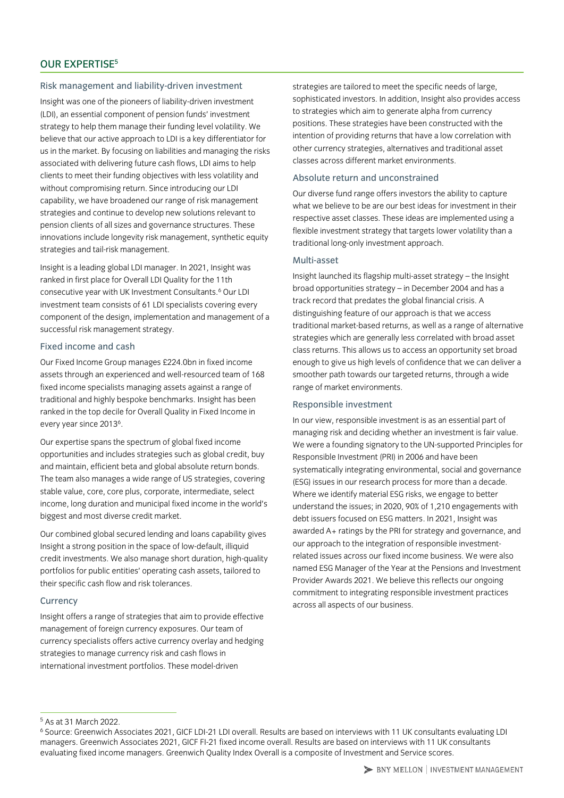#### Risk management and liability-driven investment

Insight was one of the pioneers of liability-driven investment (LDI), an essential component of pension funds' investment strategy to help them manage their funding level volatility. We believe that our active approach to LDI is a key differentiator for us in the market. By focusing on liabilities and managing the risks associated with delivering future cash flows, LDI aims to help clients to meet their funding objectives with less volatility and without compromising return. Since introducing our LDI capability, we have broadened our range of risk management strategies and continue to develop new solutions relevant to pension clients of all sizes and governance structures. These innovations include longevity risk management, synthetic equity strategies and tail-risk management.

Insight is a leading global LDI manager. In 2021, Insight was ranked in first place for Overall LDI Quality for the 11th consecutive year with UK Investment Consultants.<sup>6</sup> Our LDI investment team consists of 61 LDI specialists covering every component of the design, implementation and management of a successful risk management strategy.

### Fixed income and cash

Our Fixed Income Group manages £224.0bn in fixed income assets through an experienced and well-resourced team of 168 fixed income specialists managing assets against a range of traditional and highly bespoke benchmarks. Insight has been ranked in the top decile for Overall Quality in Fixed Income in every year since 2013<sup>6</sup>.

Our expertise spans the spectrum of global fixed income opportunities and includes strategies such as global credit, buy and maintain, efficient beta and global absolute return bonds. The team also manages a wide range of US strategies, covering stable value, core, core plus, corporate, intermediate, select income, long duration and municipal fixed income in the world's biggest and most diverse credit market.

Our combined global secured lending and loans capability gives Insight a strong position in the space of low-default, illiquid credit investments. We also manage short duration, high-quality portfolios for public entities' operating cash assets, tailored to their specific cash flow and risk tolerances.

#### **Currency**

Insight offers a range of strategies that aim to provide effective management of foreign currency exposures. Our team of currency specialists offers active currency overlay and hedging strategies to manage currency risk and cash flows in international investment portfolios. These model-driven

strategies are tailored to meet the specific needs of large, sophisticated investors. In addition, Insight also provides access to strategies which aim to generate alpha from currency positions. These strategies have been constructed with the intention of providing returns that have a low correlation with other currency strategies, alternatives and traditional asset classes across different market environments.

#### Absolute return and unconstrained

Our diverse fund range offers investors the ability to capture what we believe to be are our best ideas for investment in their respective asset classes. These ideas are implemented using a flexible investment strategy that targets lower volatility than a traditional long-only investment approach.

#### Multi-asset

Insight launched its flagship multi-asset strategy – the Insight broad opportunities strategy – in December 2004 and has a track record that predates the global financial crisis. A distinguishing feature of our approach is that we access traditional market-based returns, as well as a range of alternative strategies which are generally less correlated with broad asset class returns. This allows us to access an opportunity set broad enough to give us high levels of confidence that we can deliver a smoother path towards our targeted returns, through a wide range of market environments.

#### Responsible investment

In our view, responsible investment is as an essential part of managing risk and deciding whether an investment is fair value. We were a founding signatory to the UN-supported Principles for Responsible Investment (PRI) in 2006 and have been systematically integrating environmental, social and governance (ESG) issues in our research process for more than a decade. Where we identify material ESG risks, we engage to better understand the issues; in 2020, 90% of 1,210 engagements with debt issuers focused on ESG matters. In 2021, Insight was awarded A+ ratings by the PRI for strategy and governance, and our approach to the integration of responsible investmentrelated issues across our fixed income business. We were also named ESG Manager of the Year at the Pensions and Investment Provider Awards 2021. We believe this reflects our ongoing commitment to integrating responsible investment practices across all aspects of our business.

<sup>5</sup> As at 31 March 2022.

<sup>6</sup> Source: Greenwich Associates 2021, GICF LDI-21 LDI overall. Results are based on interviews with 11 UK consultants evaluating LDI managers. Greenwich Associates 2021, GICF FI-21 fixed income overall. Results are based on interviews with 11 UK consultants evaluating fixed income managers. Greenwich Quality Index Overall is a composite of Investment and Service scores.